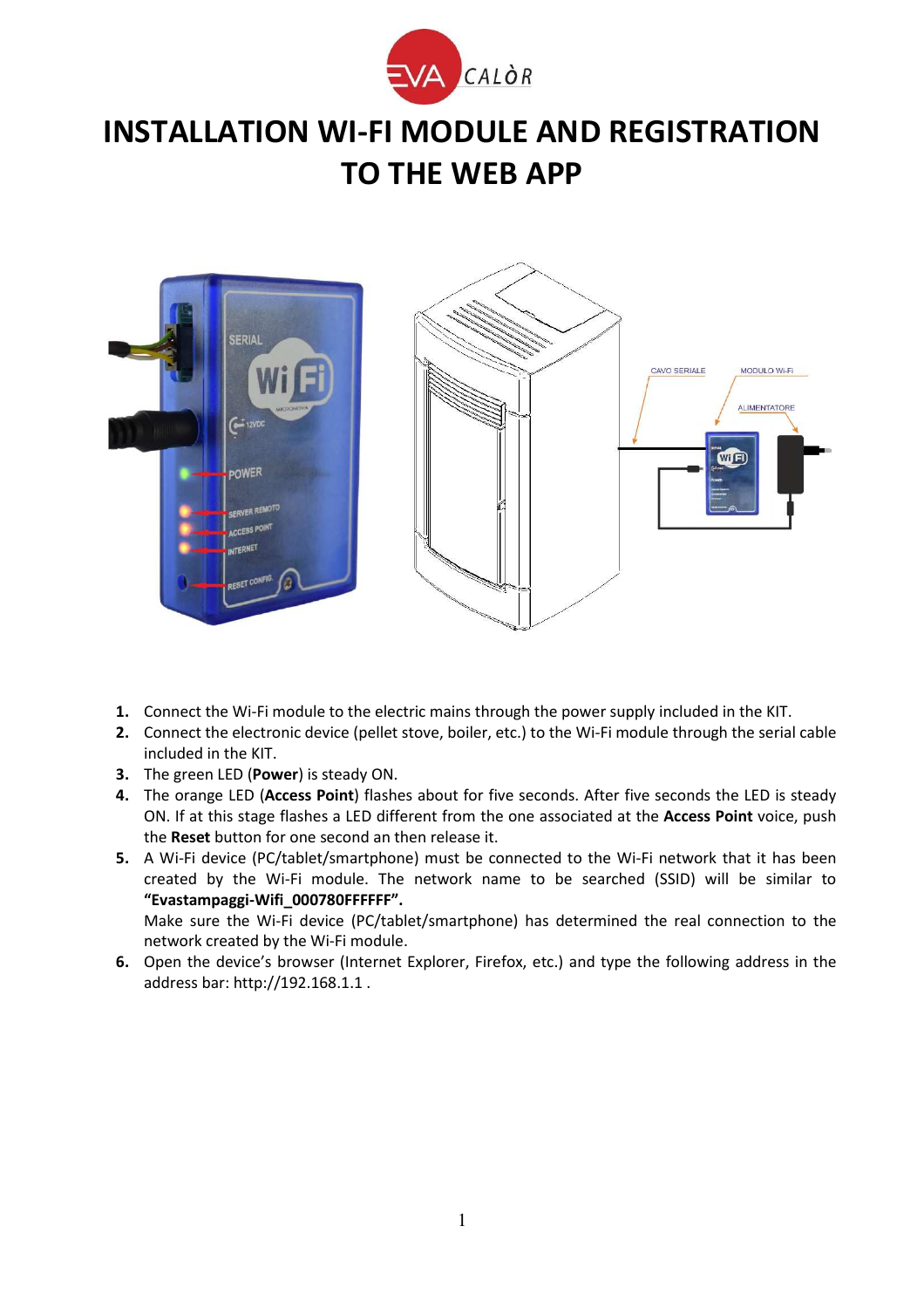

## **INSTALLATION WI-FI MODULE AND REGISTRATION TO THE WEB APP**



- **1.** Connect the Wi-Fi module to the electric mains through the power supply included in the KIT.
- **2.** Connect the electronic device (pellet stove, boiler, etc.) to the Wi-Fi module through the serial cable included in the KIT.
- **3.** The green LED (**Power**) is steady ON.
- **4.** The orange LED (**Access Point**) flashes about for five seconds. After five seconds the LED is steady ON. If at this stage flashes a LED different from the one associated at the **Access Point** voice, push the **Reset** button for one second an then release it.
- **5.** A Wi-Fi device (PC/tablet/smartphone) must be connected to the Wi-Fi network that it has been created by the Wi-Fi module. The network name to be searched (SSID) will be similar to **"Evastampaggi-Wifi\_000780FFFFFF".**

Make sure the Wi-Fi device (PC/tablet/smartphone) has determined the real connection to the network created by the Wi-Fi module.

**6.** Open the device's browser (Internet Explorer, Firefox, etc.) and type the following address in the address bar: http://192.168.1.1 .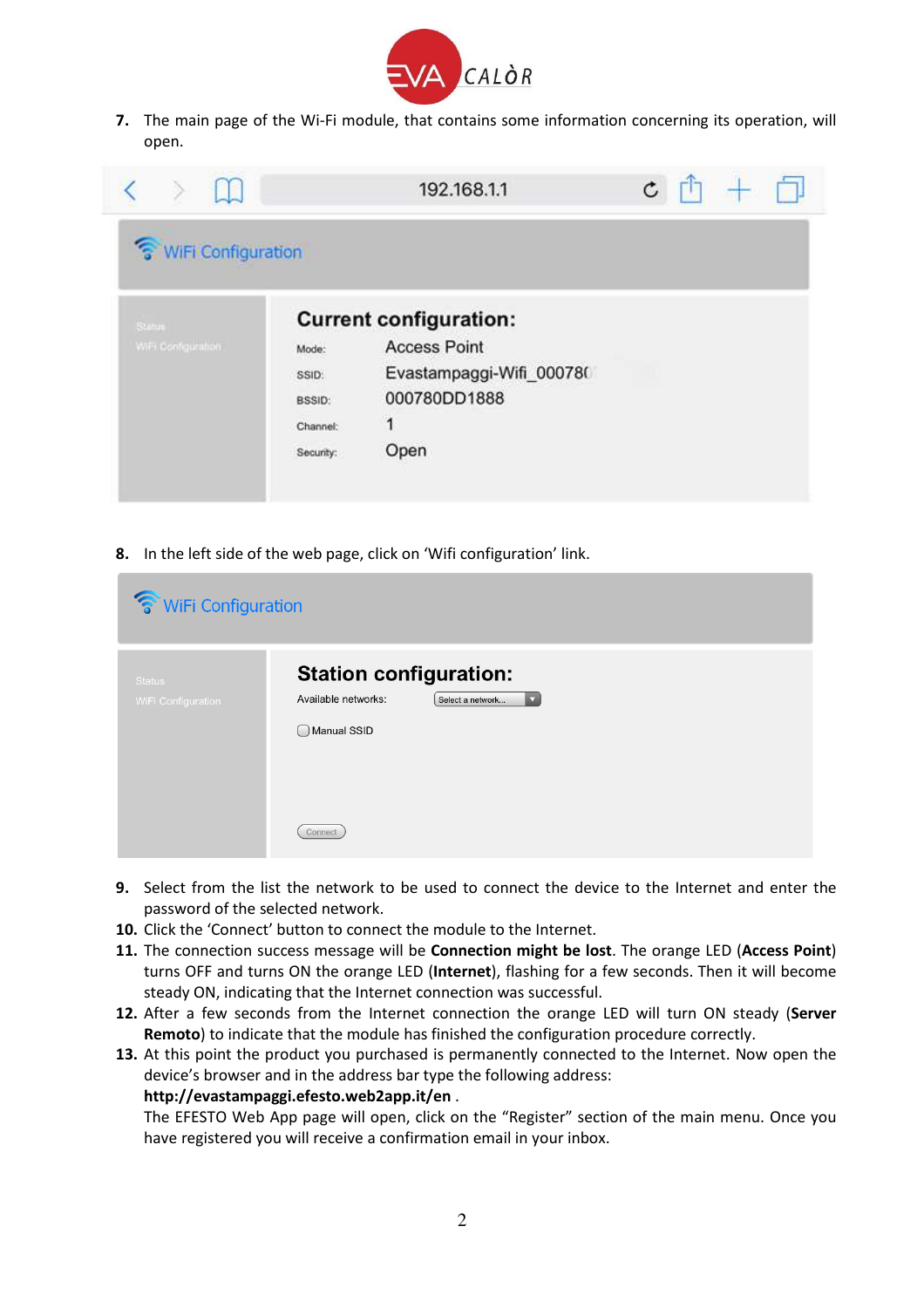

**7.** The main page of the Wi-Fi module, that contains some information concerning its operation, will open.



**8.** In the left side of the web page, click on 'Wifi configuration' link.

| TwiFi Configuration                        |                                                                                                                    |  |  |
|--------------------------------------------|--------------------------------------------------------------------------------------------------------------------|--|--|
| <b>Status</b><br><b>WiFi Configuration</b> | <b>Station configuration:</b><br>Available networks:<br>Select a network<br>$\overline{\mathbf{v}}$<br>Manual SSID |  |  |
|                                            | Connect                                                                                                            |  |  |

- **9.** Select from the list the network to be used to connect the device to the Internet and enter the password of the selected network.
- **10.** Click the 'Connect' button to connect the module to the Internet.
- **11.** The connection success message will be **Connection might be lost**. The orange LED (**Access Point**) turns OFF and turns ON the orange LED (**Internet**), flashing for a few seconds. Then it will become steady ON, indicating that the Internet connection was successful.
- **12.** After a few seconds from the Internet connection the orange LED will turn ON steady (**Server Remoto**) to indicate that the module has finished the configuration procedure correctly.
- **13.** At this point the product you purchased is permanently connected to the Internet. Now open the device's browser and in the address bar type the following address: **http://evastampaggi.efesto.web2app.it/en** .

The EFESTO Web App page will open, click on the "Register" section of the main menu. Once you have registered you will receive a confirmation email in your inbox.